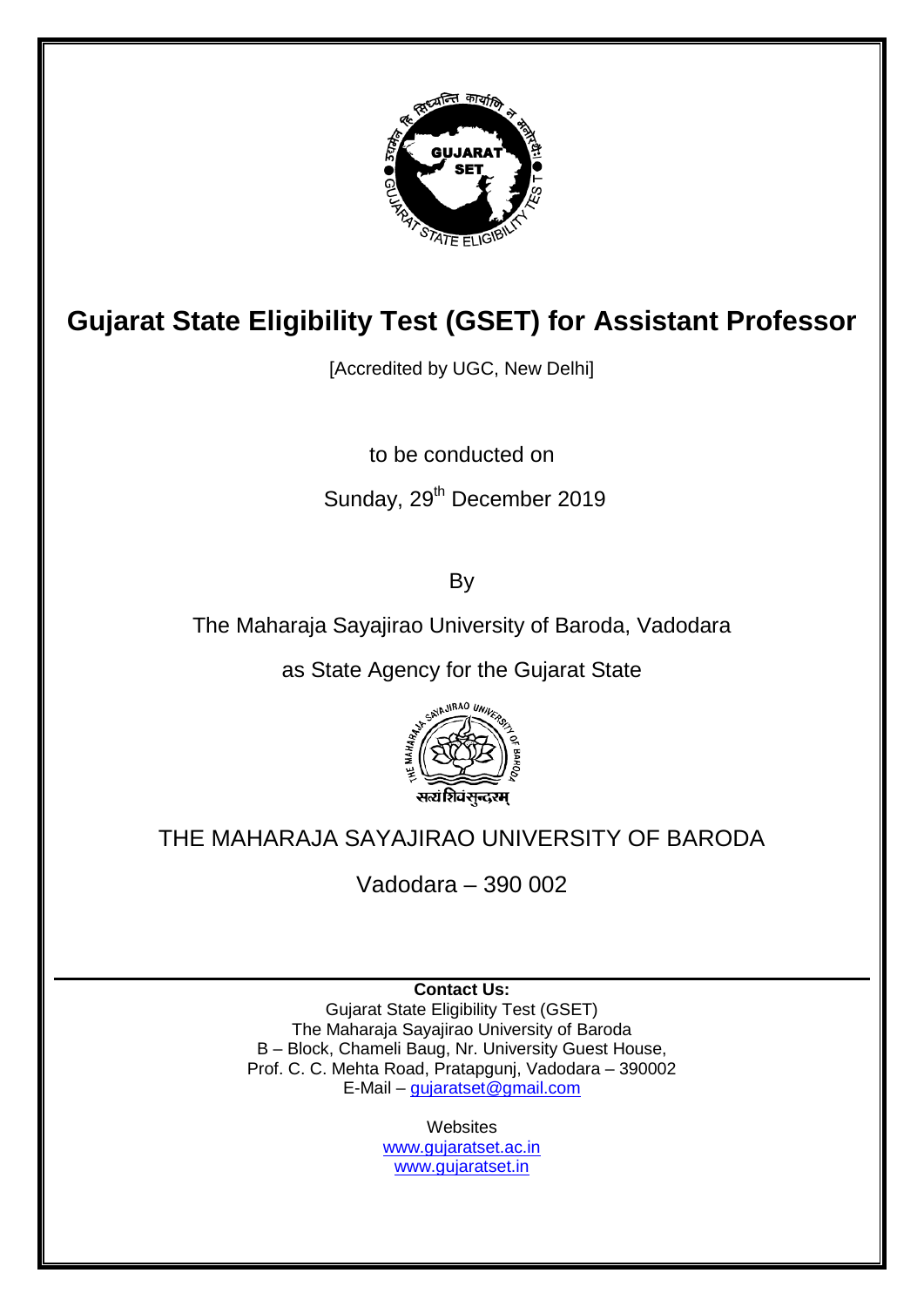

# **Gujarat State Eligibility Test (GSET) for Assistant Professor**

[Accredited by UGC, New Delhi]

to be conducted on

## Sunday, 29<sup>th</sup> December 2019

By

The Maharaja Sayajirao University of Baroda, Vadodara

as State Agency for the Gujarat State



## THE MAHARAJA SAYAJIRAO UNIVERSITY OF BARODA

Vadodara – 390 002

**Contact Us:** Gujarat State Eligibility Test (GSET) The Maharaja Sayajirao University of Baroda B – Block, Chameli Baug, Nr. University Guest House, Prof. C. C. Mehta Road, Pratapgunj, Vadodara – 390002 E-Mail – [gujaratset@gmail.com](mailto:gujaratset@gmail.com)

**Websites** 

[www.gujaratset.ac.in](http://www.gujaratset.ac.in/) [www.gujaratset.in](http://www.gujaratset.in/)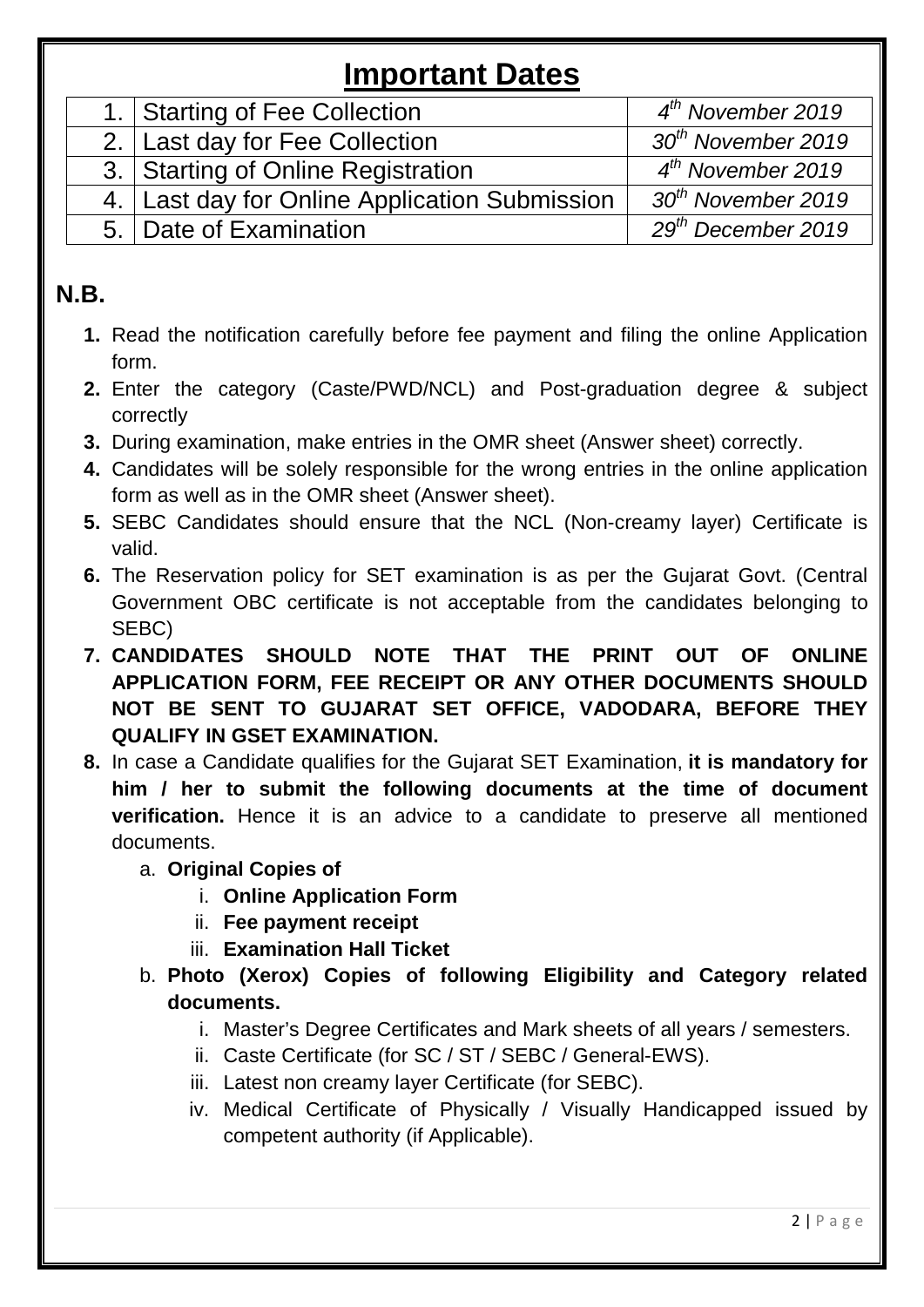# **Important Dates**

| 1. Starting of Fee Collection                   | $4th$ November 2019            |
|-------------------------------------------------|--------------------------------|
| 2. Last day for Fee Collection                  | 30 <sup>th</sup> November 2019 |
| 3. Starting of Online Registration              | $4^{th}$ November 2019         |
| 4.   Last day for Online Application Submission | 30 <sup>th</sup> November 2019 |
| 5. Date of Examination                          | $29th$ December 2019           |

## **N.B.**

- **1.** Read the notification carefully before fee payment and filing the online Application form.
- **2.** Enter the category (Caste/PWD/NCL) and Post-graduation degree & subject correctly
- **3.** During examination, make entries in the OMR sheet (Answer sheet) correctly.
- **4.** Candidates will be solely responsible for the wrong entries in the online application form as well as in the OMR sheet (Answer sheet).
- **5.** SEBC Candidates should ensure that the NCL (Non-creamy layer) Certificate is valid.
- **6.** The Reservation policy for SET examination is as per the Gujarat Govt. (Central Government OBC certificate is not acceptable from the candidates belonging to SEBC)
- **7. CANDIDATES SHOULD NOTE THAT THE PRINT OUT OF ONLINE APPLICATION FORM, FEE RECEIPT OR ANY OTHER DOCUMENTS SHOULD NOT BE SENT TO GUJARAT SET OFFICE, VADODARA, BEFORE THEY QUALIFY IN GSET EXAMINATION.**
- **8.** In case a Candidate qualifies for the Gujarat SET Examination, **it is mandatory for him / her to submit the following documents at the time of document verification.** Hence it is an advice to a candidate to preserve all mentioned documents.
	- a. **Original Copies of**
		- i. **Online Application Form**
		- ii. **Fee payment receipt**
		- iii. **Examination Hall Ticket**
	- b. **Photo (Xerox) Copies of following Eligibility and Category related documents.**
		- i. Master's Degree Certificates and Mark sheets of all years / semesters.
		- ii. Caste Certificate (for SC / ST / SEBC / General-EWS).
		- iii. Latest non creamy layer Certificate (for SEBC).
		- iv. Medical Certificate of Physically / Visually Handicapped issued by competent authority (if Applicable).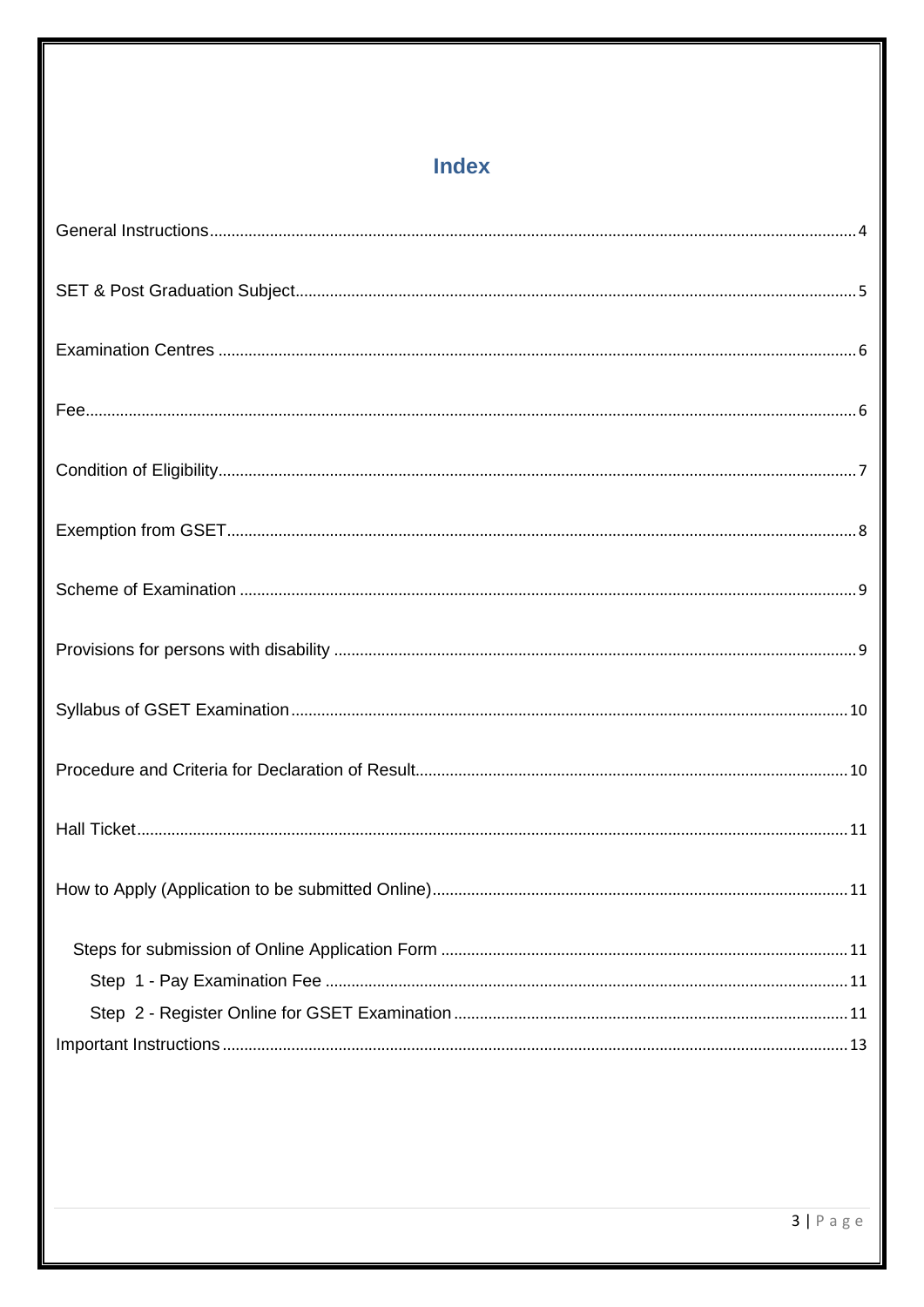## Index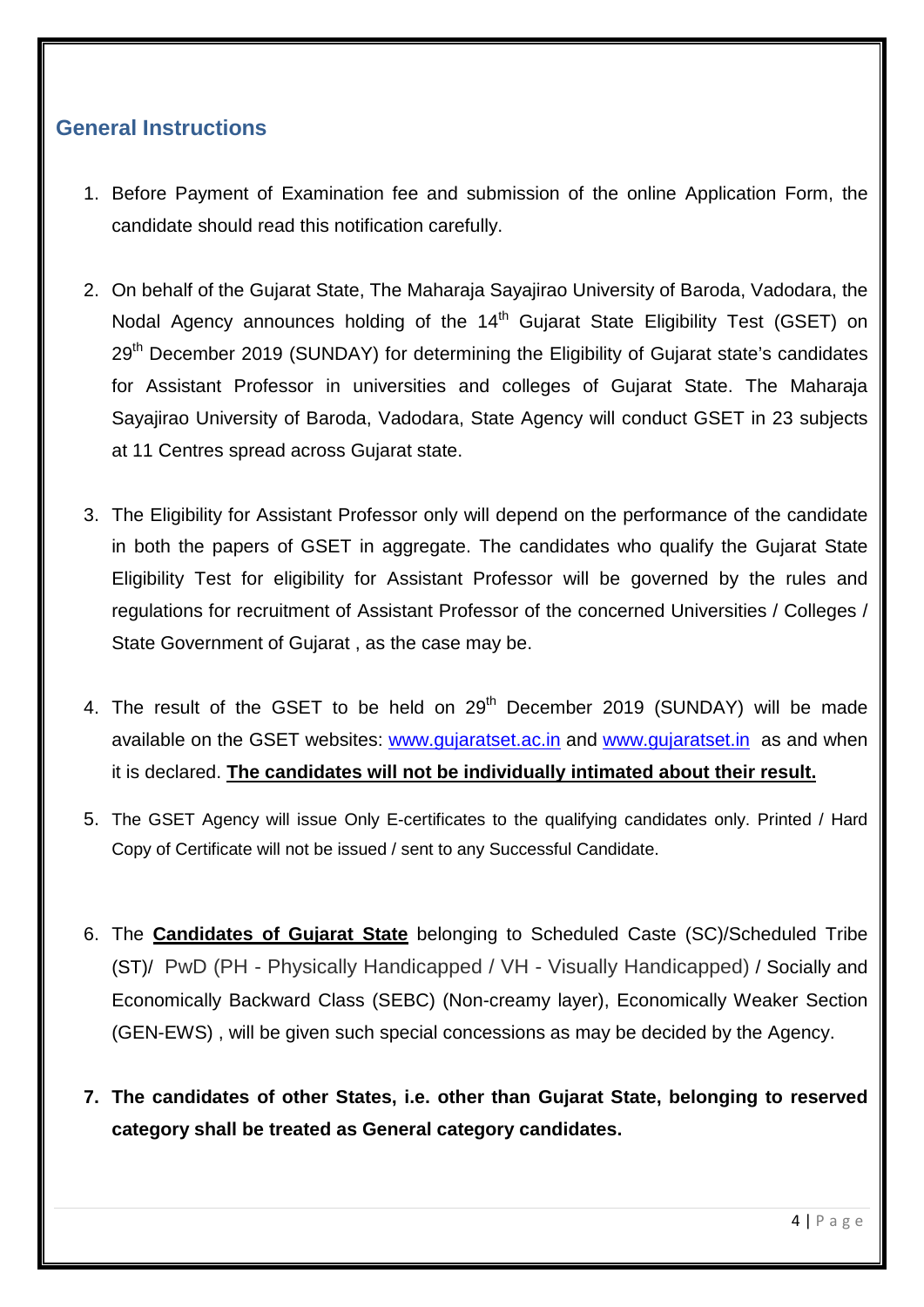#### <span id="page-3-0"></span>**General Instructions**

- 1. Before Payment of Examination fee and submission of the online Application Form, the candidate should read this notification carefully.
- 2. On behalf of the Gujarat State, The Maharaja Sayajirao University of Baroda, Vadodara, the Nodal Agency announces holding of the 14<sup>th</sup> Gujarat State Eligibility Test (GSET) on 29<sup>th</sup> December 2019 (SUNDAY) for determining the Eligibility of Gujarat state's candidates for Assistant Professor in universities and colleges of Gujarat State. The Maharaja Sayajirao University of Baroda, Vadodara, State Agency will conduct GSET in 23 subjects at 11 Centres spread across Gujarat state.
- 3. The Eligibility for Assistant Professor only will depend on the performance of the candidate in both the papers of GSET in aggregate. The candidates who qualify the Gujarat State Eligibility Test for eligibility for Assistant Professor will be governed by the rules and regulations for recruitment of Assistant Professor of the concerned Universities / Colleges / State Government of Gujarat , as the case may be.
- 4. The result of the GSET to be held on 29<sup>th</sup> December 2019 (SUNDAY) will be made available on the GSET websites: [www.gujaratset.ac.in](http://www.gujaratset.ac.in/) and [www.gujaratset.in](http://www.gujaratset.in/) as and when it is declared. **The candidates will not be individually intimated about their result.**
- 5. The GSET Agency will issue Only E-certificates to the qualifying candidates only. Printed / Hard Copy of Certificate will not be issued / sent to any Successful Candidate.
- 6. The **Candidates of Gujarat State** belonging to Scheduled Caste (SC)/Scheduled Tribe (ST)/ PwD (PH - Physically Handicapped / VH - Visually Handicapped) / Socially and Economically Backward Class (SEBC) (Non-creamy layer), Economically Weaker Section (GEN-EWS) , will be given such special concessions as may be decided by the Agency.
- **7. The candidates of other States, i.e. other than Gujarat State, belonging to reserved category shall be treated as General category candidates.**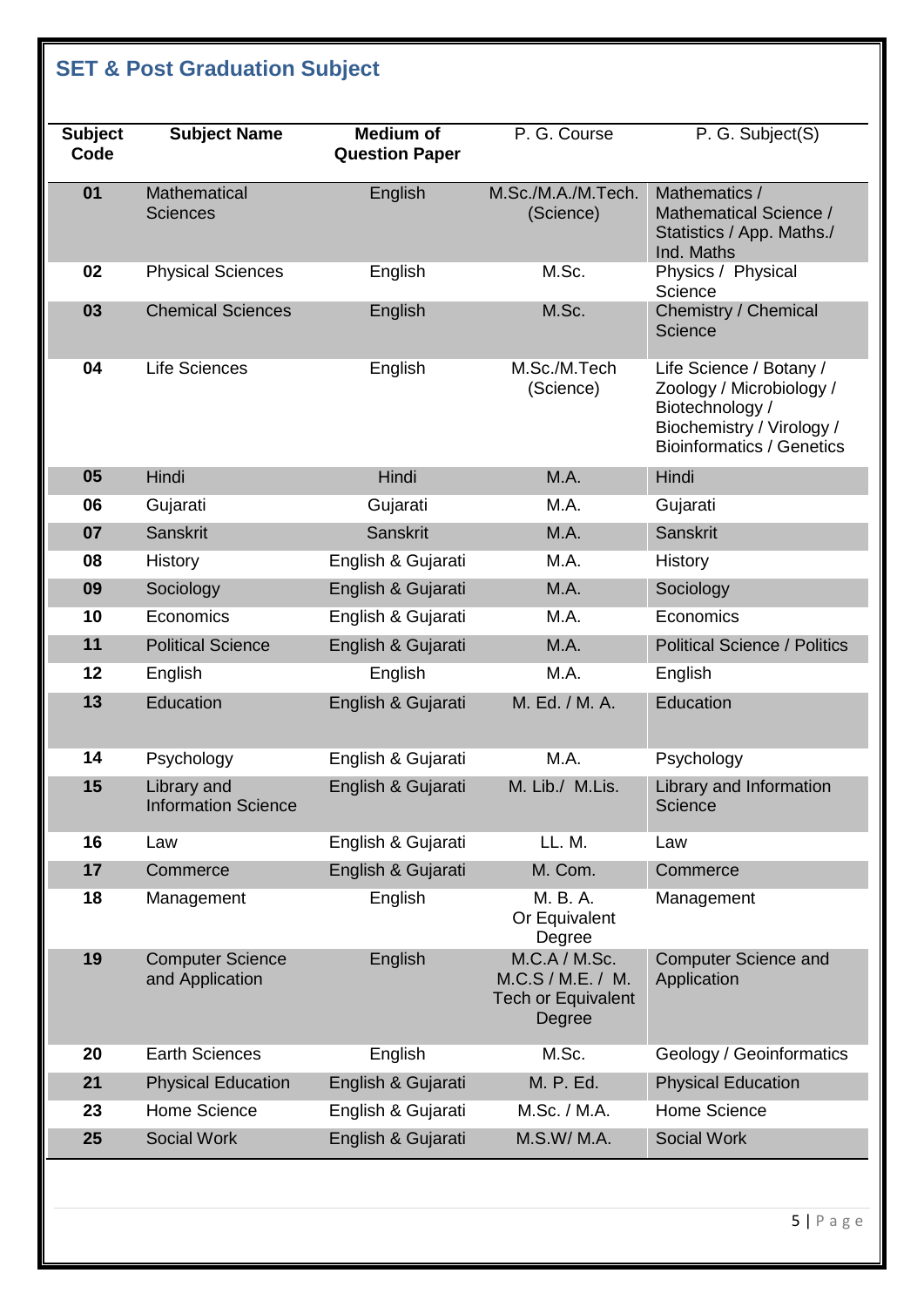## <span id="page-4-0"></span>**SET & Post Graduation Subject**

| <b>Subject</b><br>Code | <b>Subject Name</b>                        | <b>Medium of</b><br><b>Question Paper</b> | P. G. Course                                                              | P. G. Subject(S)                                                                                                                        |
|------------------------|--------------------------------------------|-------------------------------------------|---------------------------------------------------------------------------|-----------------------------------------------------------------------------------------------------------------------------------------|
| 01                     | Mathematical<br><b>Sciences</b>            | English                                   | M.Sc./M.A./M.Tech.<br>(Science)                                           | Mathematics /<br>Mathematical Science /<br>Statistics / App. Maths./<br>Ind. Maths                                                      |
| 02                     | <b>Physical Sciences</b>                   | English                                   | M.Sc.                                                                     | Physics / Physical<br>Science                                                                                                           |
| 03                     | <b>Chemical Sciences</b>                   | English                                   | M.Sc.                                                                     | Chemistry / Chemical<br>Science                                                                                                         |
| 04                     | Life Sciences                              | English                                   | M.Sc./M.Tech<br>(Science)                                                 | Life Science / Botany /<br>Zoology / Microbiology /<br>Biotechnology /<br>Biochemistry / Virology /<br><b>Bioinformatics / Genetics</b> |
| 05                     | Hindi                                      | Hindi                                     | M.A.                                                                      | Hindi                                                                                                                                   |
| 06                     | Gujarati                                   | Gujarati                                  | M.A.                                                                      | Gujarati                                                                                                                                |
| 07                     | Sanskrit                                   | <b>Sanskrit</b>                           | M.A.                                                                      | <b>Sanskrit</b>                                                                                                                         |
| 08                     | <b>History</b>                             | English & Gujarati                        | M.A.                                                                      | <b>History</b>                                                                                                                          |
| 09                     | Sociology                                  | English & Gujarati                        | M.A.                                                                      | Sociology                                                                                                                               |
| 10                     | Economics                                  | English & Gujarati                        | M.A.                                                                      | Economics                                                                                                                               |
| 11                     | <b>Political Science</b>                   | English & Gujarati                        | M.A.                                                                      | <b>Political Science / Politics</b>                                                                                                     |
| 12                     | English                                    | English                                   | M.A.                                                                      | English                                                                                                                                 |
| 13                     | Education                                  | English & Gujarati                        | M. Ed. / M. A.                                                            | Education                                                                                                                               |
| 14                     | Psychology                                 | English & Gujarati                        | M.A.                                                                      | Psychology                                                                                                                              |
| 15                     | Library and<br><b>Information Science</b>  | English & Gujarati                        | M. Lib./ M.Lis.                                                           | Library and Information<br>Science                                                                                                      |
| 16                     | Law                                        | English & Gujarati                        | LL. M.                                                                    | Law                                                                                                                                     |
| 17                     | Commerce                                   | English & Gujarati                        | M. Com.                                                                   | Commerce                                                                                                                                |
| 18                     | Management                                 | English                                   | M. B. A.<br>Or Equivalent<br>Degree                                       | Management                                                                                                                              |
| 19                     | <b>Computer Science</b><br>and Application | English                                   | M.C.A / M.Sc.<br>M.C.S / M.E. / M.<br><b>Tech or Equivalent</b><br>Degree | <b>Computer Science and</b><br>Application                                                                                              |
| 20                     | <b>Earth Sciences</b>                      | English                                   | M.Sc.                                                                     | Geology / Geoinformatics                                                                                                                |
| 21                     | <b>Physical Education</b>                  | English & Gujarati                        | M. P. Ed.                                                                 | <b>Physical Education</b>                                                                                                               |
| 23                     | Home Science                               | English & Gujarati                        | M.Sc. / M.A.                                                              | <b>Home Science</b>                                                                                                                     |
| 25                     | Social Work                                | English & Gujarati                        | M.S.W/ M.A.                                                               | <b>Social Work</b>                                                                                                                      |
|                        |                                            |                                           |                                                                           |                                                                                                                                         |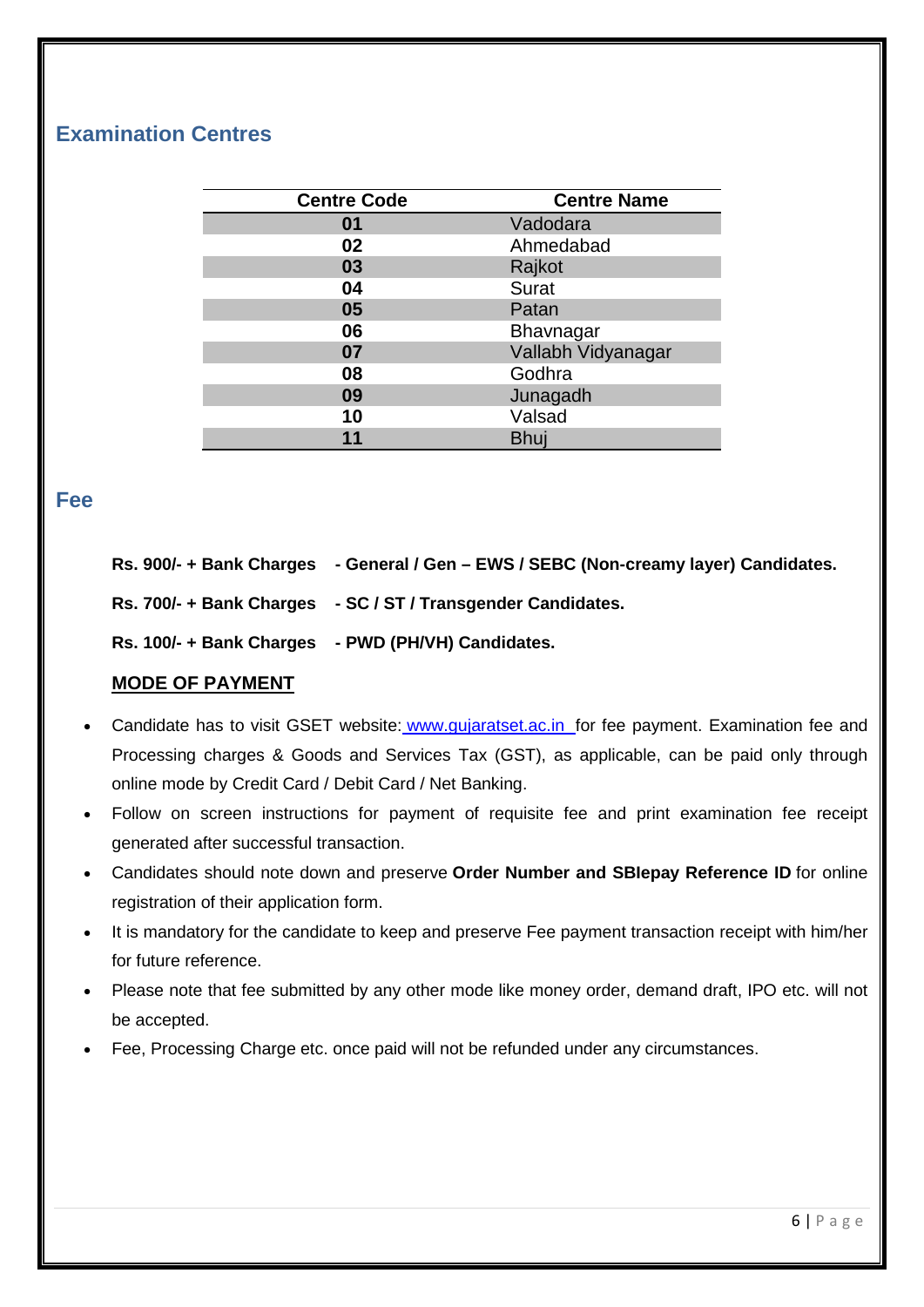### <span id="page-5-0"></span>**Examination Centres**

| <b>Centre Code</b> | <b>Centre Name</b> |  |  |
|--------------------|--------------------|--|--|
| 01                 | Vadodara           |  |  |
| 02                 | Ahmedabad          |  |  |
| 03                 | Rajkot             |  |  |
| 04                 | Surat              |  |  |
| 05                 | Patan              |  |  |
| 06                 | Bhavnagar          |  |  |
| 07                 | Vallabh Vidyanagar |  |  |
| 08                 | Godhra             |  |  |
| 09                 | Junagadh           |  |  |
| 10                 | Valsad             |  |  |
| 11                 | <b>Bhuj</b>        |  |  |

#### <span id="page-5-1"></span>**Fee**

|  |  | Rs. 900/- + Bank Charges  - General / Gen – EWS / SEBC (Non-creamy layer) Candidates. |  |
|--|--|---------------------------------------------------------------------------------------|--|
|--|--|---------------------------------------------------------------------------------------|--|

**Rs. 700/- + Bank Charges - SC / ST / Transgender Candidates.**

**Rs. 100/- + Bank Charges - PWD (PH/VH) Candidates.**

#### **MODE OF PAYMENT**

- Candidate has to visit GSET website: www.gujaratset.ac.in for fee payment. Examination fee and Processing charges & Goods and Services Tax (GST), as applicable, can be paid only through online mode by Credit Card / Debit Card / Net Banking.
- Follow on screen instructions for payment of requisite fee and print examination fee receipt generated after successful transaction.
- Candidates should note down and preserve **Order Number and SBIepay Reference ID** for online registration of their application form.
- It is mandatory for the candidate to keep and preserve Fee payment transaction receipt with him/her for future reference.
- Please note that fee submitted by any other mode like money order, demand draft, IPO etc. will not be accepted.
- Fee, Processing Charge etc. once paid will not be refunded under any circumstances.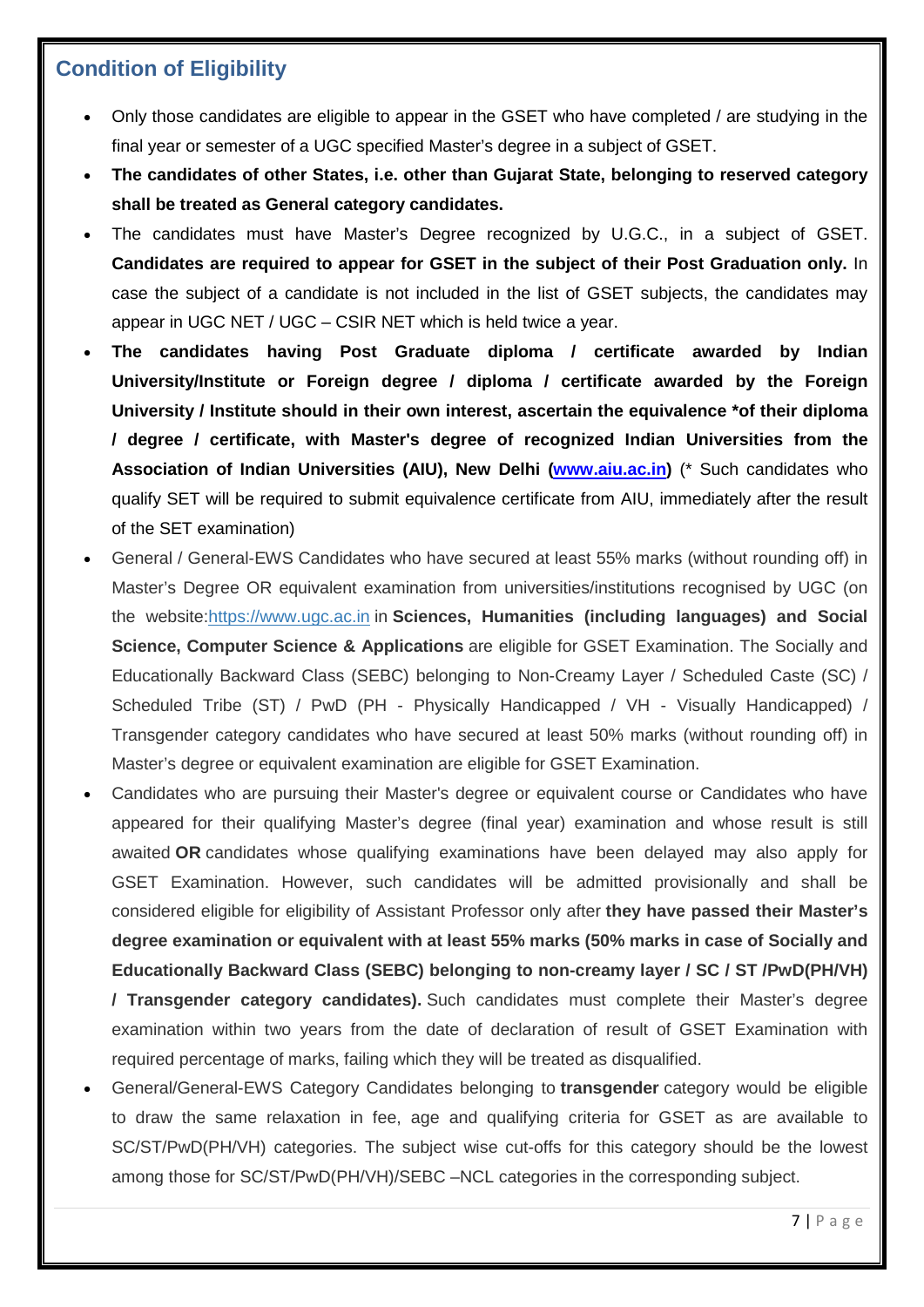### <span id="page-6-0"></span>**Condition of Eligibility**

- Only those candidates are eligible to appear in the GSET who have completed / are studying in the final year or semester of a UGC specified Master's degree in a subject of GSET.
- **The candidates of other States, i.e. other than Gujarat State, belonging to reserved category shall be treated as General category candidates.**
- The candidates must have Master's Degree recognized by U.G.C., in a subject of GSET. **Candidates are required to appear for GSET in the subject of their Post Graduation only.** In case the subject of a candidate is not included in the list of GSET subjects, the candidates may appear in UGC NET / UGC – CSIR NET which is held twice a year.
- **The candidates having Post Graduate diploma / certificate awarded by Indian University/Institute or Foreign degree / diploma / certificate awarded by the Foreign University / Institute should in their own interest, ascertain the equivalence \*of their diploma / degree / certificate, with Master's degree of recognized Indian Universities from the Association of Indian Universities (AIU), New Delhi [\(www.aiu.ac.in\)](http://www.aiu.ac.in/)** (\* Such candidates who qualify SET will be required to submit equivalence certificate from AIU, immediately after the result of the SET examination)
- General / General-EWS Candidates who have secured at least 55% marks (without rounding off) in Master's Degree OR equivalent examination from universities/institutions recognised by UGC (on the website[:https://www.ugc.ac.in](https://www.ugc.ac.in/oldpdf/consolidated%20list%20of%20All%20universities.pdf) in **Sciences, Humanities (including languages) and Social Science, Computer Science & Applications** are eligible for GSET Examination. The Socially and Educationally Backward Class (SEBC) belonging to Non-Creamy Layer / Scheduled Caste (SC) / Scheduled Tribe (ST) / PwD (PH - Physically Handicapped / VH - Visually Handicapped) / Transgender category candidates who have secured at least 50% marks (without rounding off) in Master's degree or equivalent examination are eligible for GSET Examination.
- Candidates who are pursuing their Master's degree or equivalent course or Candidates who have appeared for their qualifying Master's degree (final year) examination and whose result is still awaited **OR** candidates whose qualifying examinations have been delayed may also apply for GSET Examination. However, such candidates will be admitted provisionally and shall be considered eligible for eligibility of Assistant Professor only after **they have passed their Master's degree examination or equivalent with at least 55% marks (50% marks in case of Socially and Educationally Backward Class (SEBC) belonging to non-creamy layer / SC / ST /PwD(PH/VH) / Transgender category candidates).** Such candidates must complete their Master's degree examination within two years from the date of declaration of result of GSET Examination with required percentage of marks, failing which they will be treated as disqualified.
- General/General-EWS Category Candidates belonging to **transgender** category would be eligible to draw the same relaxation in fee, age and qualifying criteria for GSET as are available to SC/ST/PwD(PH/VH) categories. The subject wise cut-offs for this category should be the lowest among those for SC/ST/PwD(PH/VH)/SEBC –NCL categories in the corresponding subject.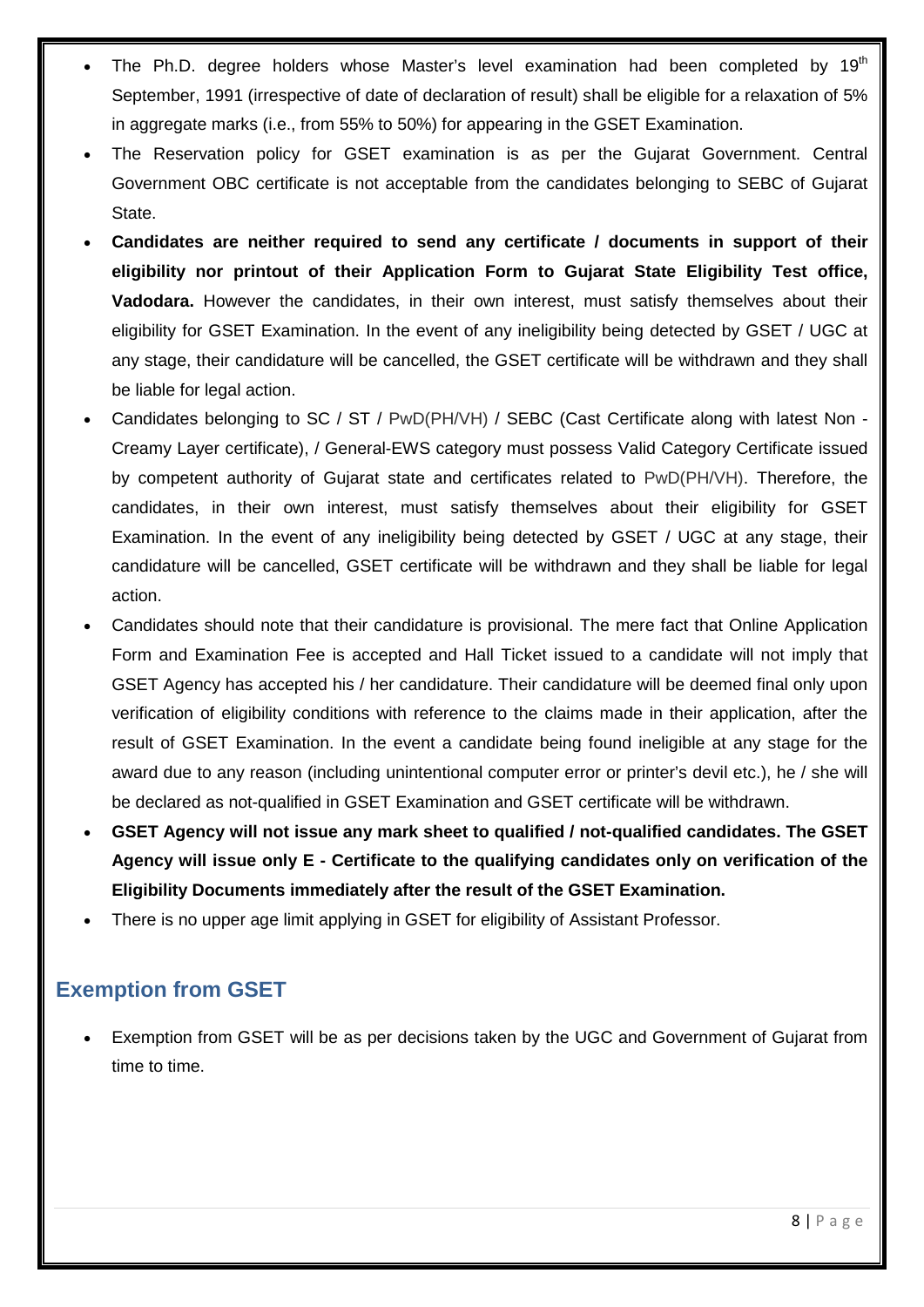- The Ph.D. degree holders whose Master's level examination had been completed by  $19<sup>th</sup>$ September, 1991 (irrespective of date of declaration of result) shall be eligible for a relaxation of 5% in aggregate marks (i.e., from 55% to 50%) for appearing in the GSET Examination.
- The Reservation policy for GSET examination is as per the Gujarat Government. Central Government OBC certificate is not acceptable from the candidates belonging to SEBC of Gujarat State.
- **Candidates are neither required to send any certificate / documents in support of their eligibility nor printout of their Application Form to Gujarat State Eligibility Test office, Vadodara.** However the candidates, in their own interest, must satisfy themselves about their eligibility for GSET Examination. In the event of any ineligibility being detected by GSET / UGC at any stage, their candidature will be cancelled, the GSET certificate will be withdrawn and they shall be liable for legal action.
- Candidates belonging to SC / ST / PwD(PH/VH) / SEBC (Cast Certificate along with latest Non Creamy Layer certificate), / General-EWS category must possess Valid Category Certificate issued by competent authority of Gujarat state and certificates related to PwD(PH/VH). Therefore, the candidates, in their own interest, must satisfy themselves about their eligibility for GSET Examination. In the event of any ineligibility being detected by GSET / UGC at any stage, their candidature will be cancelled, GSET certificate will be withdrawn and they shall be liable for legal action.
- Candidates should note that their candidature is provisional. The mere fact that Online Application Form and Examination Fee is accepted and Hall Ticket issued to a candidate will not imply that GSET Agency has accepted his / her candidature. Their candidature will be deemed final only upon verification of eligibility conditions with reference to the claims made in their application, after the result of GSET Examination. In the event a candidate being found ineligible at any stage for the award due to any reason (including unintentional computer error or printer's devil etc.), he / she will be declared as not-qualified in GSET Examination and GSET certificate will be withdrawn.
- **GSET Agency will not issue any mark sheet to qualified / not-qualified candidates. The GSET Agency will issue only E - Certificate to the qualifying candidates only on verification of the Eligibility Documents immediately after the result of the GSET Examination.**
- There is no upper age limit applying in GSET for eligibility of Assistant Professor.

### <span id="page-7-0"></span>**Exemption from GSET**

• Exemption from GSET will be as per decisions taken by the UGC and Government of Gujarat from time to time.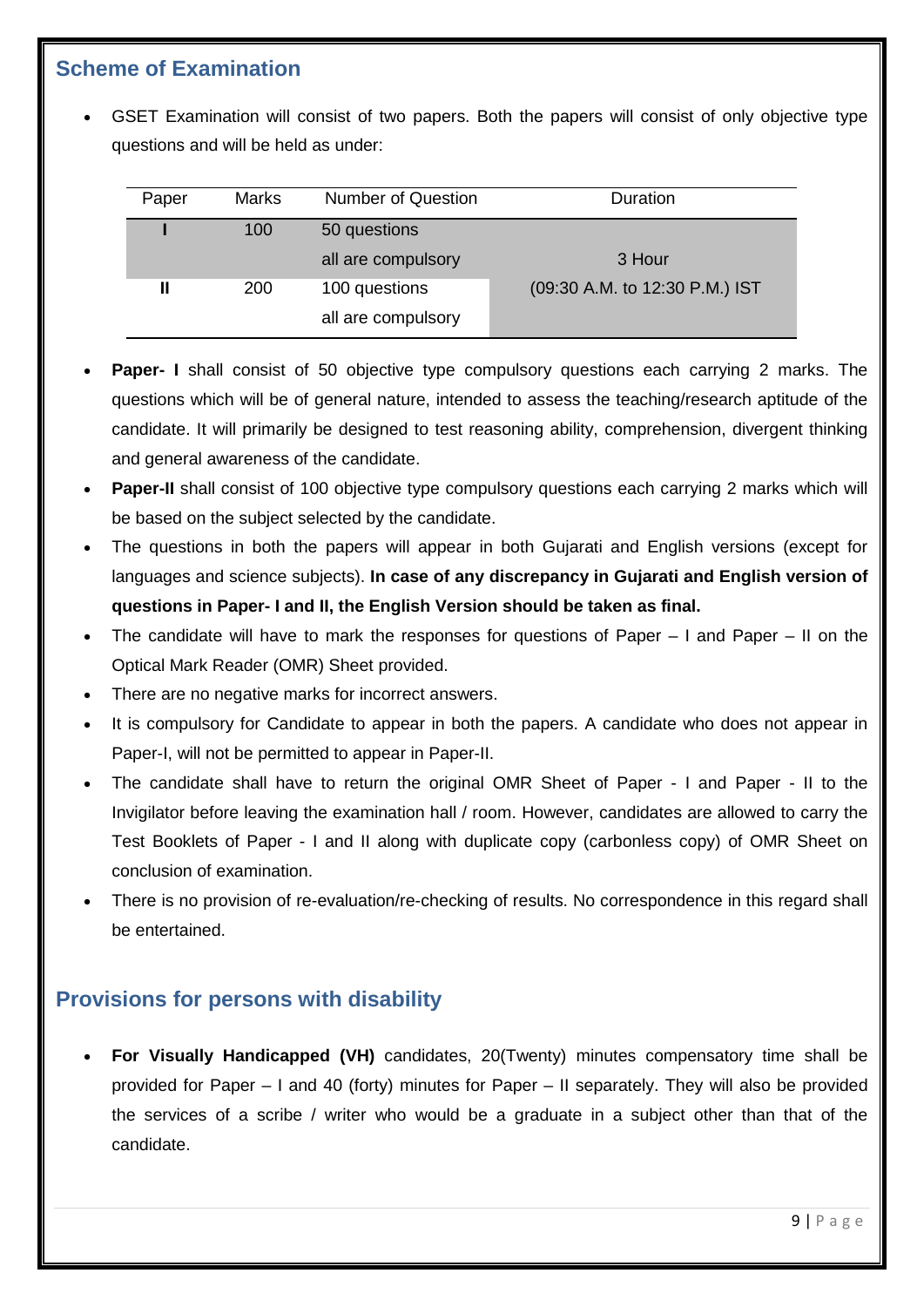### <span id="page-8-0"></span>**Scheme of Examination**

• GSET Examination will consist of two papers. Both the papers will consist of only objective type questions and will be held as under:

| Paper | <b>Marks</b> | <b>Number of Question</b> | Duration                       |
|-------|--------------|---------------------------|--------------------------------|
|       | 100          | 50 questions              |                                |
|       |              | all are compulsory        | 3 Hour                         |
| Ш     | 200          | 100 questions             | (09:30 A.M. to 12:30 P.M.) IST |
|       |              | all are compulsory        |                                |

- **Paper- I** shall consist of 50 objective type compulsory questions each carrying 2 marks. The questions which will be of general nature, intended to assess the teaching/research aptitude of the candidate. It will primarily be designed to test reasoning ability, comprehension, divergent thinking and general awareness of the candidate.
- **Paper-II** shall consist of 100 objective type compulsory questions each carrying 2 marks which will be based on the subject selected by the candidate.
- The questions in both the papers will appear in both Gujarati and English versions (except for languages and science subjects). **In case of any discrepancy in Gujarati and English version of questions in Paper- I and II, the English Version should be taken as final.**
- The candidate will have to mark the responses for questions of Paper I and Paper II on the Optical Mark Reader (OMR) Sheet provided.
- There are no negative marks for incorrect answers.
- It is compulsory for Candidate to appear in both the papers. A candidate who does not appear in Paper-I, will not be permitted to appear in Paper-II.
- The candidate shall have to return the original OMR Sheet of Paper I and Paper II to the Invigilator before leaving the examination hall / room. However, candidates are allowed to carry the Test Booklets of Paper - I and II along with duplicate copy (carbonless copy) of OMR Sheet on conclusion of examination.
- There is no provision of re-evaluation/re-checking of results. No correspondence in this regard shall be entertained.

## <span id="page-8-1"></span>**Provisions for persons with disability**

• **For Visually Handicapped (VH)** candidates, 20(Twenty) minutes compensatory time shall be provided for Paper – I and 40 (forty) minutes for Paper – II separately. They will also be provided the services of a scribe / writer who would be a graduate in a subject other than that of the candidate.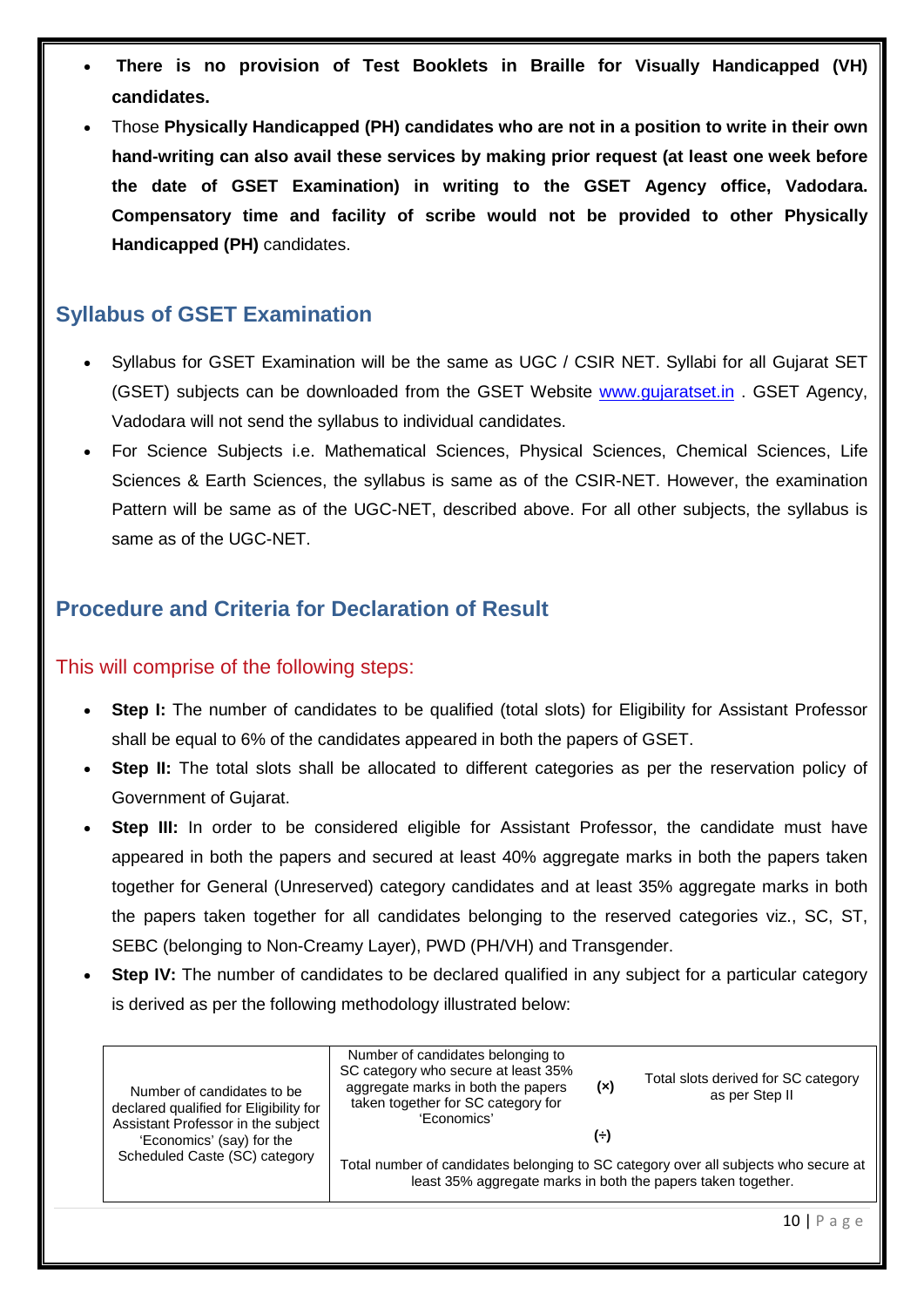- **There is no provision of Test Booklets in Braille for Visually Handicapped (VH) candidates.**
- Those **Physically Handicapped (PH) candidates who are not in a position to write in their own hand-writing can also avail these services by making prior request (at least one week before the date of GSET Examination) in writing to the GSET Agency office, Vadodara. Compensatory time and facility of scribe would not be provided to other Physically Handicapped (PH)** candidates.

### <span id="page-9-0"></span>**Syllabus of GSET Examination**

- Syllabus for GSET Examination will be the same as UGC / CSIR NET. Syllabi for all Gujarat SET (GSET) subjects can be downloaded from the GSET Website [www.gujaratset.in](http://www.gujaratset.in/) . GSET Agency, Vadodara will not send the syllabus to individual candidates.
- For Science Subjects i.e. Mathematical Sciences, Physical Sciences, Chemical Sciences, Life Sciences & Earth Sciences, the syllabus is same as of the CSIR-NET. However, the examination Pattern will be same as of the UGC-NET, described above. For all other subjects, the syllabus is same as of the UGC-NET.

#### <span id="page-9-1"></span>**Procedure and Criteria for Declaration of Result**

#### This will comprise of the following steps:

- **Step I:** The number of candidates to be qualified (total slots) for Eligibility for Assistant Professor shall be equal to 6% of the candidates appeared in both the papers of GSET.
- **Step II:** The total slots shall be allocated to different categories as per the reservation policy of Government of Gujarat.
- **Step III:** In order to be considered eligible for Assistant Professor, the candidate must have appeared in both the papers and secured at least 40% aggregate marks in both the papers taken together for General (Unreserved) category candidates and at least 35% aggregate marks in both the papers taken together for all candidates belonging to the reserved categories viz., SC, ST, SEBC (belonging to Non-Creamy Layer), PWD (PH/VH) and Transgender.
- **Step IV:** The number of candidates to be declared qualified in any subject for a particular category is derived as per the following methodology illustrated below:

| Number of candidates to be<br>declared qualified for Eligibility for<br>Assistant Professor in the subject | Number of candidates belonging to<br>SC category who secure at least 35%<br>aggregate marks in both the papers<br>taken together for SC category for<br>'Economics' | (x) | Total slots derived for SC category<br>as per Step II |  |
|------------------------------------------------------------------------------------------------------------|---------------------------------------------------------------------------------------------------------------------------------------------------------------------|-----|-------------------------------------------------------|--|
| 'Economics' (say) for the                                                                                  |                                                                                                                                                                     | (÷) |                                                       |  |
| Scheduled Caste (SC) category                                                                              | Total number of candidates belonging to SC category over all subjects who secure at<br>least 35% aggregate marks in both the papers taken together.                 |     |                                                       |  |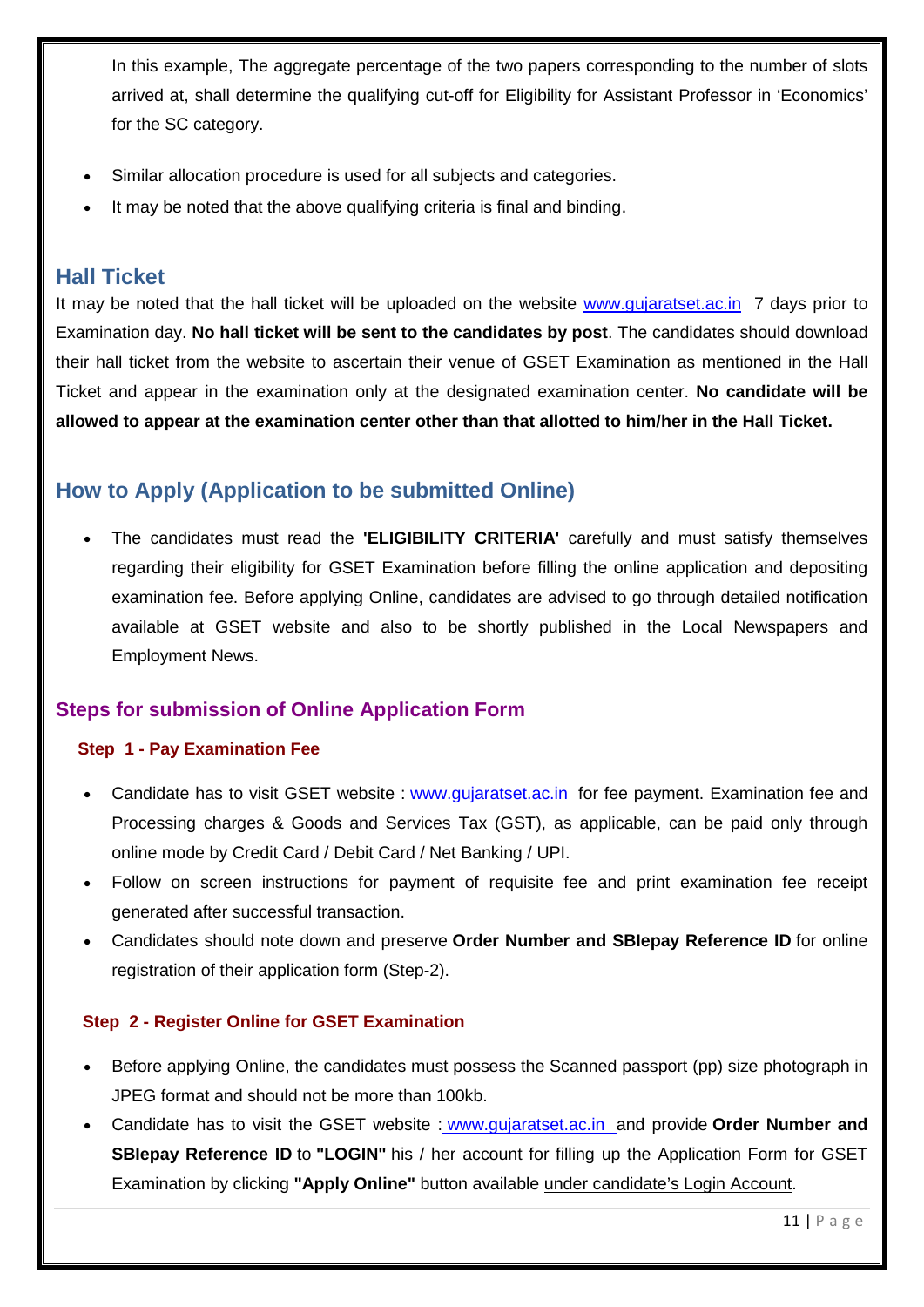In this example, The aggregate percentage of the two papers corresponding to the number of slots arrived at, shall determine the qualifying cut-off for Eligibility for Assistant Professor in 'Economics' for the SC category.

- Similar allocation procedure is used for all subjects and categories.
- It may be noted that the above qualifying criteria is final and binding.

#### <span id="page-10-0"></span>**Hall Ticket**

It may be noted that the hall ticket will be uploaded on the website www.qujaratset.ac.in 7 days prior to Examination day. **No hall ticket will be sent to the candidates by post**. The candidates should download their hall ticket from the website to ascertain their venue of GSET Examination as mentioned in the Hall Ticket and appear in the examination only at the designated examination center. **No candidate will be allowed to appear at the examination center other than that allotted to him/her in the Hall Ticket.**

### <span id="page-10-1"></span>**How to Apply (Application to be submitted Online)**

• The candidates must read the **'ELIGIBILITY CRITERIA'** carefully and must satisfy themselves regarding their eligibility for GSET Examination before filling the online application and depositing examination fee. Before applying Online, candidates are advised to go through detailed notification available at GSET website and also to be shortly published in the Local Newspapers and Employment News.

#### <span id="page-10-3"></span><span id="page-10-2"></span>**Steps for submission of Online Application Form**

#### **Step 1 - Pay Examination Fee**

- Candidate has to visit GSET website : www.gujaratset.ac.in for fee payment. Examination fee and Processing charges & Goods and Services Tax (GST), as applicable, can be paid only through online mode by Credit Card / Debit Card / Net Banking / UPI.
- Follow on screen instructions for payment of requisite fee and print examination fee receipt generated after successful transaction.
- Candidates should note down and preserve **Order Number and SBIepay Reference ID** for online registration of their application form (Step-2).

#### <span id="page-10-4"></span>**Step 2 - Register Online for GSET Examination**

- Before applying Online, the candidates must possess the Scanned passport (pp) size photograph in JPEG format and should not be more than 100kb.
- Candidate has to visit the GSET website : www.gujaratset.ac.in and provide **Order Number and SBIepay Reference ID** to **"LOGIN"** his / her account for filling up the Application Form for GSET Examination by clicking **"Apply Online"** button available under candidate's Login Account.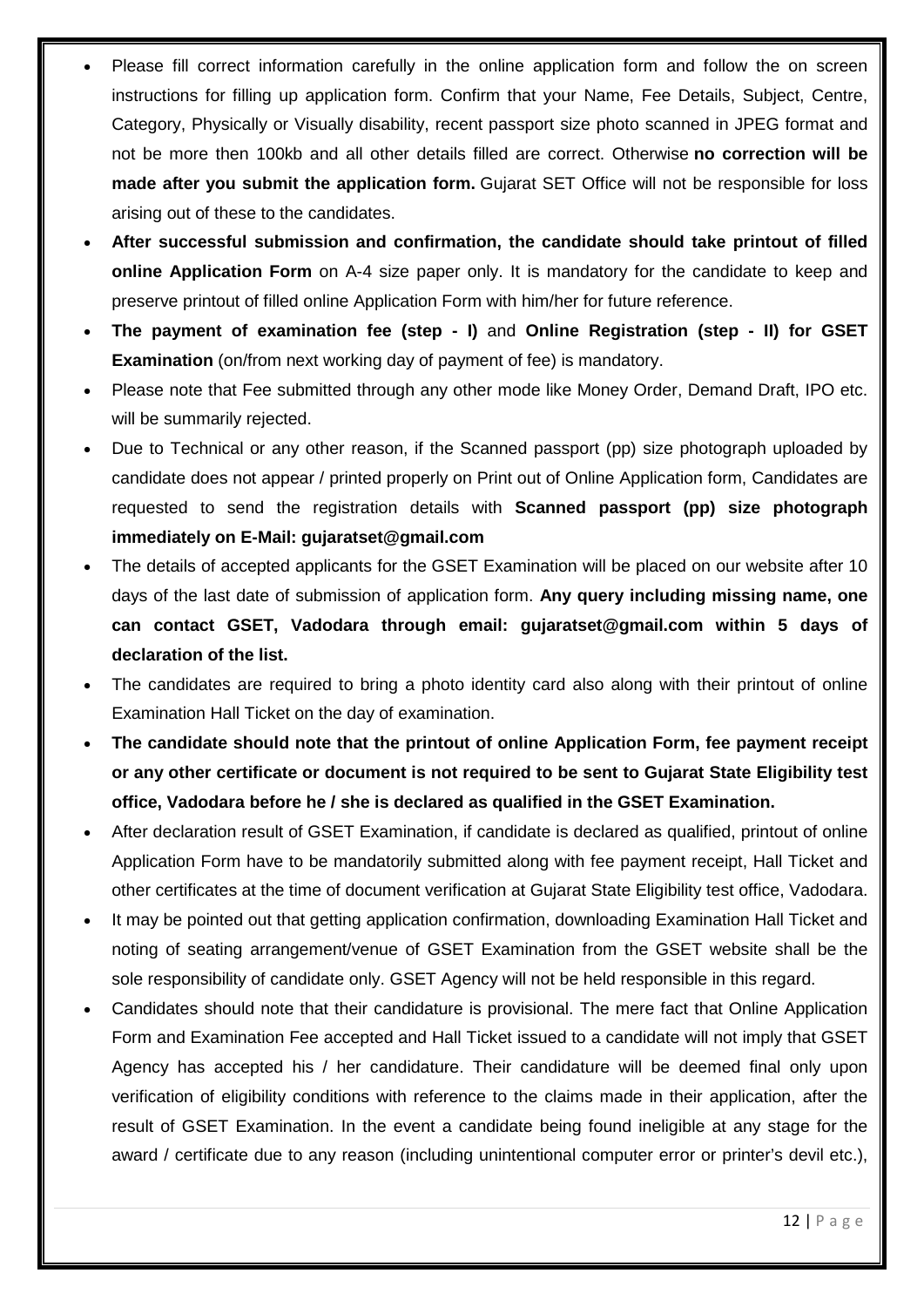- Please fill correct information carefully in the online application form and follow the on screen instructions for filling up application form. Confirm that your Name, Fee Details, Subject, Centre, Category, Physically or Visually disability, recent passport size photo scanned in JPEG format and not be more then 100kb and all other details filled are correct. Otherwise **no correction will be made after you submit the application form.** Gujarat SET Office will not be responsible for loss arising out of these to the candidates.
- **After successful submission and confirmation, the candidate should take printout of filled online Application Form** on A-4 size paper only. It is mandatory for the candidate to keep and preserve printout of filled online Application Form with him/her for future reference.
- **The payment of examination fee (step - I)** and **Online Registration (step - II) for GSET Examination** (on/from next working day of payment of fee) is mandatory.
- Please note that Fee submitted through any other mode like Money Order, Demand Draft, IPO etc. will be summarily rejected.
- Due to Technical or any other reason, if the Scanned passport (pp) size photograph uploaded by candidate does not appear / printed properly on Print out of Online Application form, Candidates are requested to send the registration details with **Scanned passport (pp) size photograph immediately on E-Mail: gujaratset@gmail.com**
- The details of accepted applicants for the GSET Examination will be placed on our website after 10 days of the last date of submission of application form. **Any query including missing name, one can contact GSET, Vadodara through email: gujaratset@gmail.com within 5 days of declaration of the list.**
- The candidates are required to bring a photo identity card also along with their printout of online Examination Hall Ticket on the day of examination.
- **The candidate should note that the printout of online Application Form, fee payment receipt or any other certificate or document is not required to be sent to Gujarat State Eligibility test office, Vadodara before he / she is declared as qualified in the GSET Examination.**
- After declaration result of GSET Examination, if candidate is declared as qualified, printout of online Application Form have to be mandatorily submitted along with fee payment receipt, Hall Ticket and other certificates at the time of document verification at Gujarat State Eligibility test office, Vadodara.
- It may be pointed out that getting application confirmation, downloading Examination Hall Ticket and noting of seating arrangement/venue of GSET Examination from the GSET website shall be the sole responsibility of candidate only. GSET Agency will not be held responsible in this regard.
- Candidates should note that their candidature is provisional. The mere fact that Online Application Form and Examination Fee accepted and Hall Ticket issued to a candidate will not imply that GSET Agency has accepted his / her candidature. Their candidature will be deemed final only upon verification of eligibility conditions with reference to the claims made in their application, after the result of GSET Examination. In the event a candidate being found ineligible at any stage for the award / certificate due to any reason (including unintentional computer error or printer's devil etc.),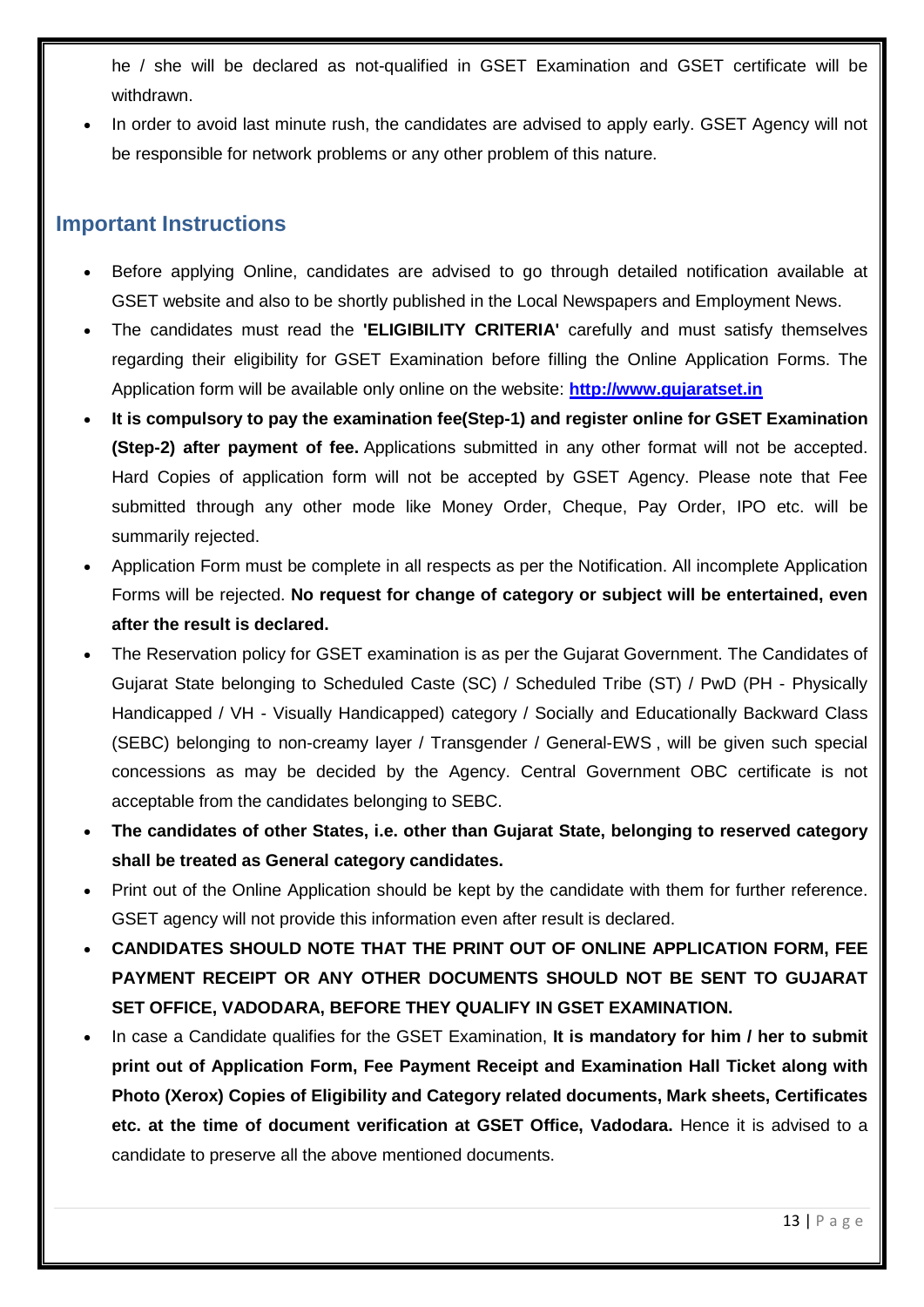he / she will be declared as not-qualified in GSET Examination and GSET certificate will be withdrawn.

• In order to avoid last minute rush, the candidates are advised to apply early. GSET Agency will not be responsible for network problems or any other problem of this nature.

### <span id="page-12-0"></span>**Important Instructions**

- Before applying Online, candidates are advised to go through detailed notification available at GSET website and also to be shortly published in the Local Newspapers and Employment News.
- The candidates must read the **'ELIGIBILITY CRITERIA'** carefully and must satisfy themselves regarding their eligibility for GSET Examination before filling the Online Application Forms. The Application form will be available only online on the website: **[http://www.gujaratset.in](http://www.gujaratset.in/)**
- **It is compulsory to pay the examination fee(Step-1) and register online for GSET Examination (Step-2) after payment of fee.** Applications submitted in any other format will not be accepted. Hard Copies of application form will not be accepted by GSET Agency. Please note that Fee submitted through any other mode like Money Order, Cheque, Pay Order, IPO etc. will be summarily rejected.
- Application Form must be complete in all respects as per the Notification. All incomplete Application Forms will be rejected. **No request for change of category or subject will be entertained, even after the result is declared.**
- The Reservation policy for GSET examination is as per the Gujarat Government. The Candidates of Gujarat State belonging to Scheduled Caste (SC) / Scheduled Tribe (ST) / PwD (PH - Physically Handicapped / VH - Visually Handicapped) category / Socially and Educationally Backward Class (SEBC) belonging to non-creamy layer / Transgender / General-EWS , will be given such special concessions as may be decided by the Agency. Central Government OBC certificate is not acceptable from the candidates belonging to SEBC.
- **The candidates of other States, i.e. other than Gujarat State, belonging to reserved category shall be treated as General category candidates.**
- Print out of the Online Application should be kept by the candidate with them for further reference. GSET agency will not provide this information even after result is declared.
- **CANDIDATES SHOULD NOTE THAT THE PRINT OUT OF ONLINE APPLICATION FORM, FEE PAYMENT RECEIPT OR ANY OTHER DOCUMENTS SHOULD NOT BE SENT TO GUJARAT SET OFFICE, VADODARA, BEFORE THEY QUALIFY IN GSET EXAMINATION.**
- In case a Candidate qualifies for the GSET Examination, **It is mandatory for him / her to submit print out of Application Form, Fee Payment Receipt and Examination Hall Ticket along with Photo (Xerox) Copies of Eligibility and Category related documents, Mark sheets, Certificates etc. at the time of document verification at GSET Office, Vadodara.** Hence it is advised to a candidate to preserve all the above mentioned documents.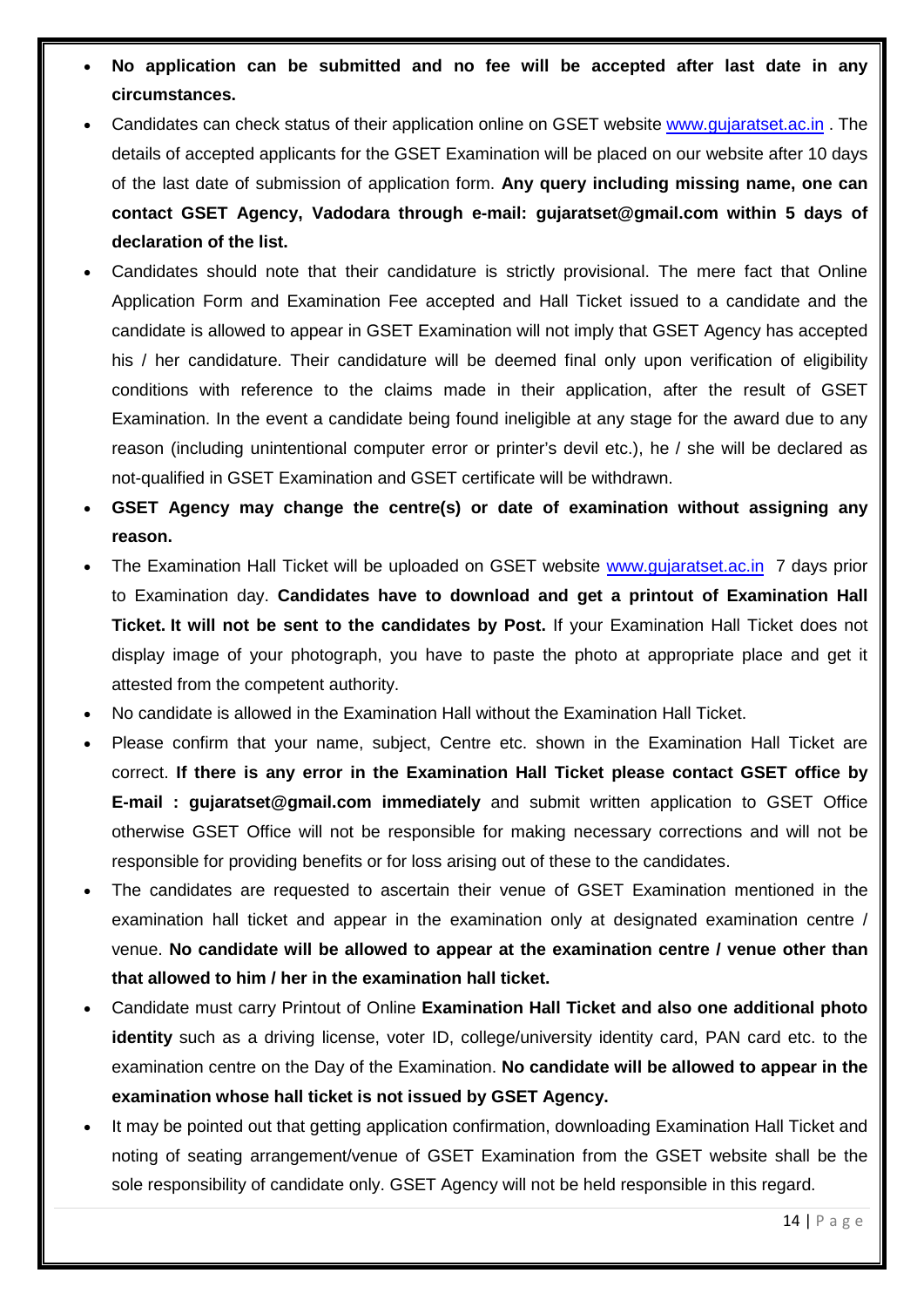- **No application can be submitted and no fee will be accepted after last date in any circumstances.**
- Candidates can check status of their application online on GSET website [www.gujaratset.ac.in](http://www.gujaratset.ac.in/) . The details of accepted applicants for the GSET Examination will be placed on our website after 10 days of the last date of submission of application form. **Any query including missing name, one can contact GSET Agency, Vadodara through e-mail: gujaratset@gmail.com within 5 days of declaration of the list.**
- Candidates should note that their candidature is strictly provisional. The mere fact that Online Application Form and Examination Fee accepted and Hall Ticket issued to a candidate and the candidate is allowed to appear in GSET Examination will not imply that GSET Agency has accepted his / her candidature. Their candidature will be deemed final only upon verification of eligibility conditions with reference to the claims made in their application, after the result of GSET Examination. In the event a candidate being found ineligible at any stage for the award due to any reason (including unintentional computer error or printer's devil etc.), he / she will be declared as not-qualified in GSET Examination and GSET certificate will be withdrawn.
- **GSET Agency may change the centre(s) or date of examination without assigning any reason.**
- The Examination Hall Ticket will be uploaded on GSET website [www.gujaratset.ac.in](http://www.gujaratset.ac.in/) 7 days prior to Examination day. **Candidates have to download and get a printout of Examination Hall Ticket. It will not be sent to the candidates by Post.** If your Examination Hall Ticket does not display image of your photograph, you have to paste the photo at appropriate place and get it attested from the competent authority.
- No candidate is allowed in the Examination Hall without the Examination Hall Ticket.
- Please confirm that your name, subject, Centre etc. shown in the Examination Hall Ticket are correct. **If there is any error in the Examination Hall Ticket please contact GSET office by E-mail : gujaratset@gmail.com immediately** and submit written application to GSET Office otherwise GSET Office will not be responsible for making necessary corrections and will not be responsible for providing benefits or for loss arising out of these to the candidates.
- The candidates are requested to ascertain their venue of GSET Examination mentioned in the examination hall ticket and appear in the examination only at designated examination centre / venue. **No candidate will be allowed to appear at the examination centre / venue other than that allowed to him / her in the examination hall ticket.**
- Candidate must carry Printout of Online **Examination Hall Ticket and also one additional photo identity** such as a driving license, voter ID, college/university identity card, PAN card etc. to the examination centre on the Day of the Examination. **No candidate will be allowed to appear in the examination whose hall ticket is not issued by GSET Agency.**
- It may be pointed out that getting application confirmation, downloading Examination Hall Ticket and noting of seating arrangement/venue of GSET Examination from the GSET website shall be the sole responsibility of candidate only. GSET Agency will not be held responsible in this regard.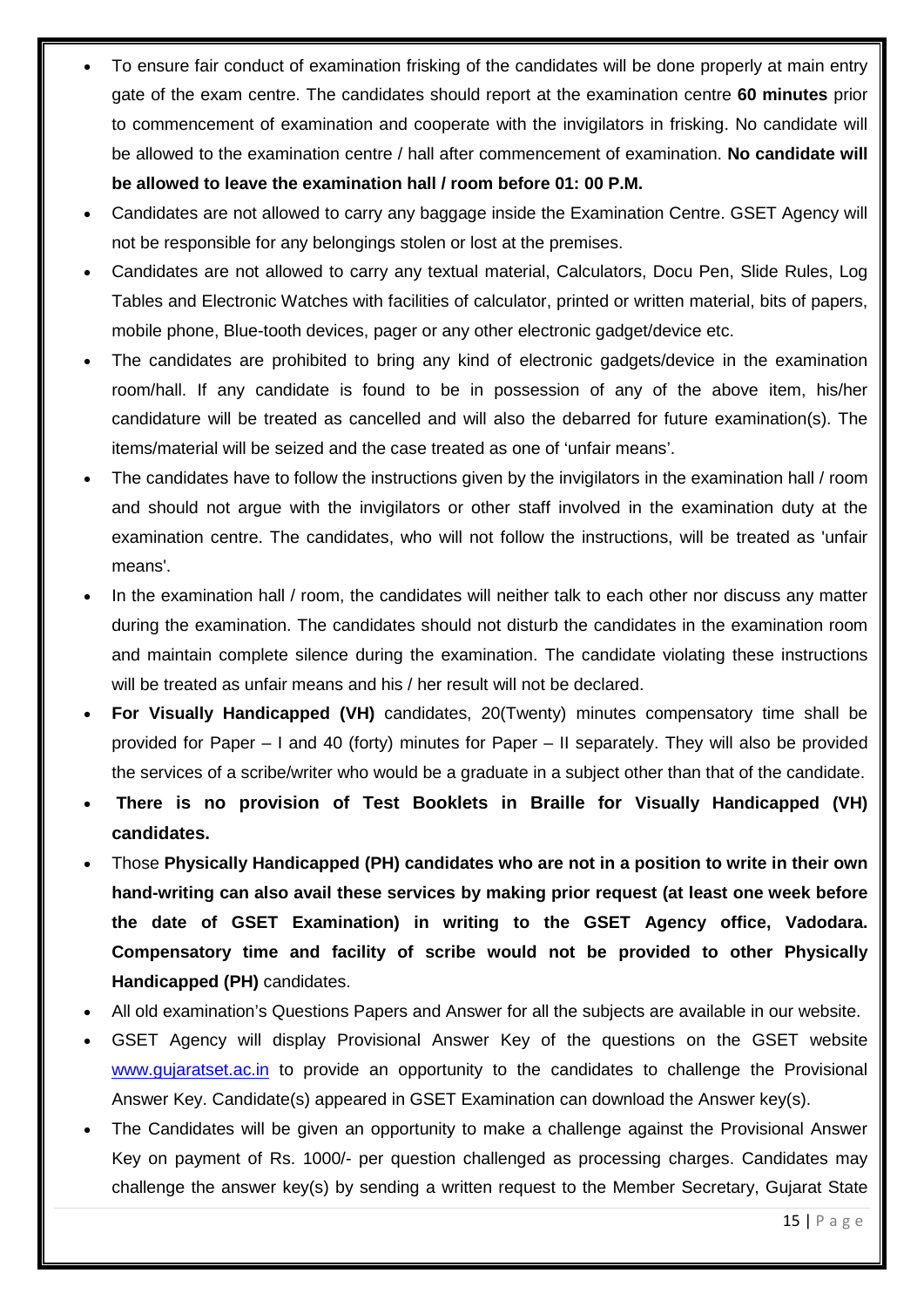- To ensure fair conduct of examination frisking of the candidates will be done properly at main entry gate of the exam centre. The candidates should report at the examination centre **60 minutes** prior to commencement of examination and cooperate with the invigilators in frisking. No candidate will be allowed to the examination centre / hall after commencement of examination. **No candidate will be allowed to leave the examination hall / room before 01: 00 P.M.**
- Candidates are not allowed to carry any baggage inside the Examination Centre. GSET Agency will not be responsible for any belongings stolen or lost at the premises.
- Candidates are not allowed to carry any textual material, Calculators, Docu Pen, Slide Rules, Log Tables and Electronic Watches with facilities of calculator, printed or written material, bits of papers, mobile phone, Blue-tooth devices, pager or any other electronic gadget/device etc.
- The candidates are prohibited to bring any kind of electronic gadgets/device in the examination room/hall. If any candidate is found to be in possession of any of the above item, his/her candidature will be treated as cancelled and will also the debarred for future examination(s). The items/material will be seized and the case treated as one of 'unfair means'.
- The candidates have to follow the instructions given by the invigilators in the examination hall / room and should not argue with the invigilators or other staff involved in the examination duty at the examination centre. The candidates, who will not follow the instructions, will be treated as 'unfair means'.
- In the examination hall / room, the candidates will neither talk to each other nor discuss any matter during the examination. The candidates should not disturb the candidates in the examination room and maintain complete silence during the examination. The candidate violating these instructions will be treated as unfair means and his / her result will not be declared.
- **For Visually Handicapped (VH)** candidates, 20(Twenty) minutes compensatory time shall be provided for Paper – I and 40 (forty) minutes for Paper – II separately. They will also be provided the services of a scribe/writer who would be a graduate in a subject other than that of the candidate.
- **There is no provision of Test Booklets in Braille for Visually Handicapped (VH) candidates.**
- Those **Physically Handicapped (PH) candidates who are not in a position to write in their own hand-writing can also avail these services by making prior request (at least one week before the date of GSET Examination) in writing to the GSET Agency office, Vadodara. Compensatory time and facility of scribe would not be provided to other Physically Handicapped (PH)** candidates.
- All old examination's Questions Papers and Answer for all the subjects are available in our website.
- GSET Agency will display Provisional Answer Key of the questions on the GSET website [www.gujaratset.ac.in](http://www.gujaratset.ac.in/) to provide an opportunity to the candidates to challenge the Provisional Answer Key. Candidate(s) appeared in GSET Examination can download the Answer key(s).
- The Candidates will be given an opportunity to make a challenge against the Provisional Answer Key on payment of Rs. 1000/- per question challenged as processing charges. Candidates may challenge the answer key(s) by sending a written request to the Member Secretary, Gujarat State